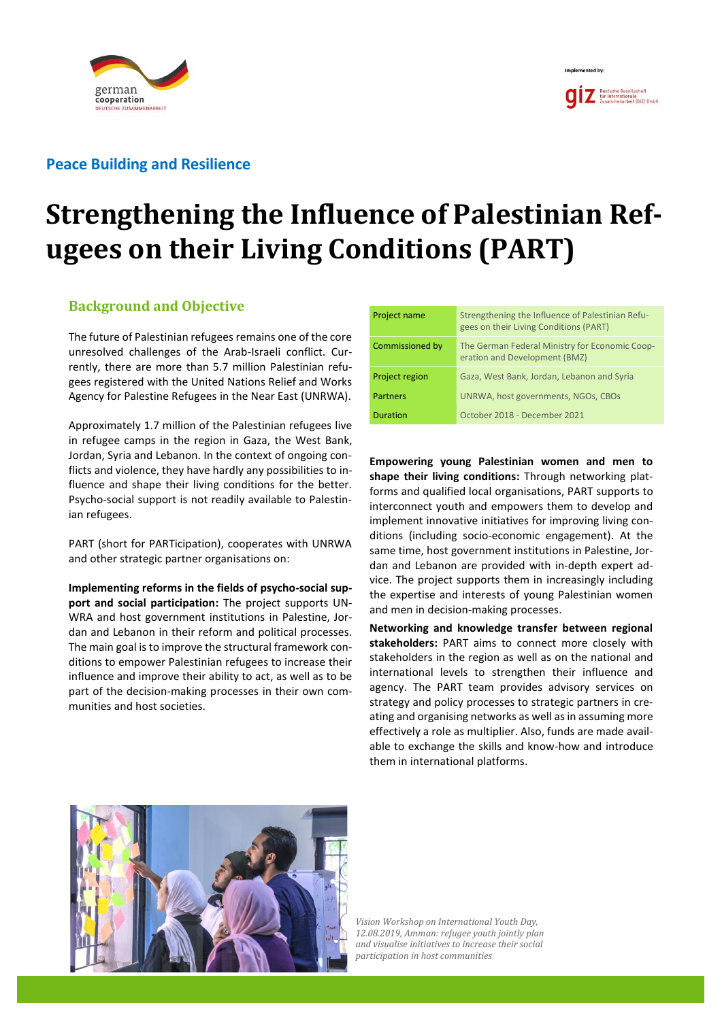

## **Peace Building and Resilience**

# **Strengthening the Influence of Palestinian Refugees on their Living Conditions (PART)**

## **Background and Objective**

The future of Palestinian refugees remains one of the core unresolved challenges of the Arab-Israeli conflict. Currently, there are more than 5.7 million Palestinian refugees registered with the United Nations Relief and Works Agency for Palestine Refugees in the Near East (UNRWA).

Approximately 1.7 million of the Palestinian refugees live in refugee camps in the region in Gaza, the West Bank, Jordan, Syria and Lebanon. In the context of ongoing conflicts and violence, they have hardly any possibilities to influence and shape their living conditions for the better. Psycho-social support is not readily available to Palestinian refugees.

PART (short for PARTicipation), cooperates with UNRWA and other strategic partner organisations on:

**Implementing reforms in the fields of psycho-social support and social participation:** The project supports UN-WRA and host government institutions in Palestine, Jordan and Lebanon in their reform and political processes. The main goal is to improve the structural framework conditions to empower Palestinian refugees to increase their influence and improve their ability to act, as well as to be part of the decision-making processes in their own communities and host societies.

| Project name          | Strengthening the Influence of Palestinian Refu-<br>gees on their Living Conditions (PART) |  |
|-----------------------|--------------------------------------------------------------------------------------------|--|
| Commissioned by       | The German Federal Ministry for Economic Coop-<br>eration and Development (BMZ)            |  |
| <b>Project region</b> | Gaza, West Bank, Jordan, Lebanon and Syria                                                 |  |
| Partners              | UNRWA, host governments, NGOs, CBOs                                                        |  |
| <b>Duration</b>       | October 2018 - December 2021                                                               |  |

Implemented by

**Empowering young Palestinian women and men to shape their living conditions:** Through networking platforms and qualified local organisations, PART supports to interconnect youth and empowers them to develop and implement innovative initiatives for improving living conditions (including socio-economic engagement). At the same time, host government institutions in Palestine, Jordan and Lebanon are provided with in-depth expert advice. The project supports them in increasingly including the expertise and interests of young Palestinian women and men in decision-making processes.

**Networking and knowledge transfer between regional stakeholders:** PART aims to connect more closely with stakeholders in the region as well as on the national and international levels to strengthen their influence and agency. The PART team provides advisory services on strategy and policy processes to strategic partners in creating and organising networks as well as in assuming more effectively a role as multiplier. Also, funds are made available to exchange the skills and know-how and introduce them in international platforms.



*Vision Workshop on International Youth Day, 12.08.2019, Amman: refugee youth jointly plan and visualise initiatives to increase their social participation in host communities*